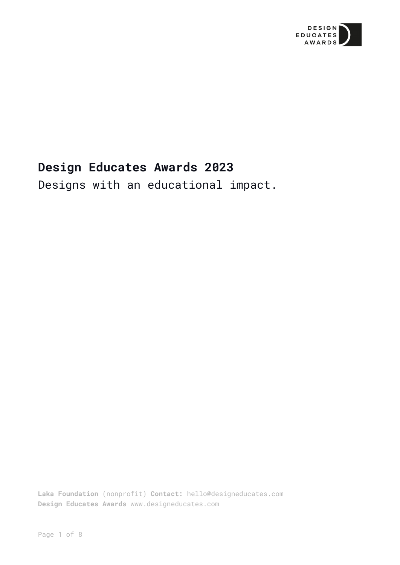

# **Design Educates Awards 2023**

Designs with an educational impact.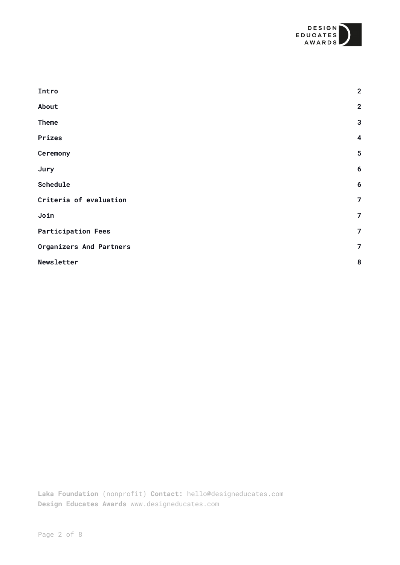

<span id="page-1-0"></span>

| $\overline{2}$          |
|-------------------------|
| $\overline{2}$          |
| $\overline{\mathbf{3}}$ |
| $\boldsymbol{4}$        |
| $5\phantom{1}$          |
| $6\phantom{1}6$         |
| $6\phantom{1}6$         |
| $\overline{7}$          |
| $\overline{7}$          |
| $\overline{7}$          |
| $\overline{7}$          |
| 8                       |
|                         |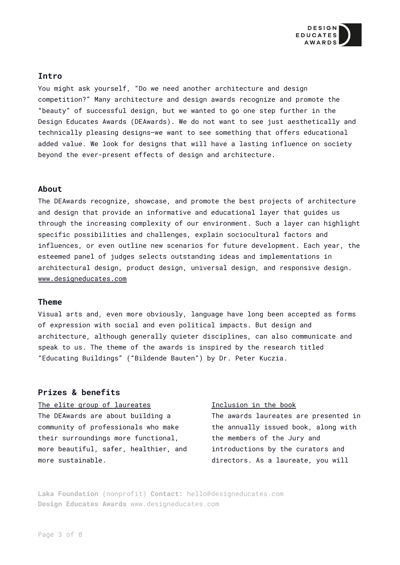

# **Intro**

You might ask yourself, "Do we need another architecture and design competition?" Many architecture and design awards recognize and promote the "beauty" of successful design, but we wanted to go one step further in the Design Educates Awards (DEAwards). We do not want to see just aesthetically and technically pleasing designs—we want to see something that offers educational added value. We look for designs that will have a lasting influence on society beyond the ever-present effects of design and architecture.

### <span id="page-2-0"></span>**About**

The DEAwards recognize, showcase, and promote the best projects of architecture and design that provide an informative and educational layer that guides us through the increasing complexity of our environment. Such a layer can highlight specific possibilities and challenges, explain sociocultural factors and influences, or even outline new scenarios for future development. Each year, the esteemed panel of judges selects outstanding ideas and implementations in architectural design, product design, universal design, and responsive design. [www.designeducates.com](http://www.designeducates.com/)

#### <span id="page-2-1"></span>**Theme**

Visual arts and, even more obviously, language have long been accepted as forms of expression with social and even political impacts. But design and architecture, although generally quieter disciplines, can also communicate and speak to us. The theme of the awards is inspired by the research titled "Educating Buildings" ("Bildende Bauten") by Dr. Peter Kuczia.

# **Prizes & benefits**

The elite group of laureates

The DEAwards are about building a community of professionals who make their surroundings more functional, more beautiful, safer, healthier, and more sustainable.

#### Inclusion in the book

The awards laureates are presented in the annually issued book, along with the members of the Jury and introductions by the curators and directors. As a laureate, you will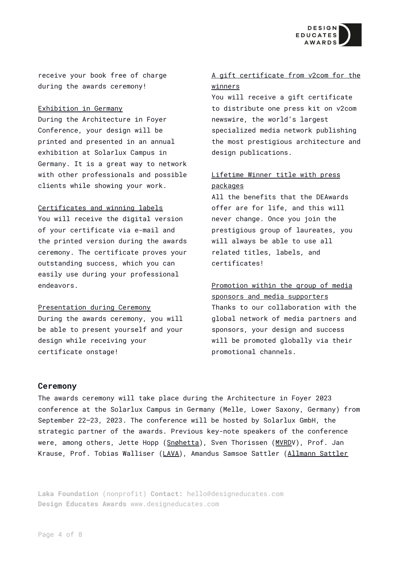

receive your book free of charge during the awards ceremony!

#### Exhibition in Germany

During the Architecture in Foyer Conference, your design will be printed and presented in an annual exhibition at Solarlux Campus in Germany. It is a great way to network with other professionals and possible clients while showing your work.

#### Certificates and winning labels

You will receive the digital version of your certificate via e-mail and the printed version during the awards ceremony. The certificate proves your outstanding success, which you can easily use during your professional endeavors.

#### Presentation during Ceremony

During the awards ceremony, you will be able to present yourself and your design while receiving your certificate onstage!

# A gift certificate from v2com for the winners

You will receive a gift certificate to distribute one press kit on v2com newswire, the world's largest specialized media network publishing the most prestigious architecture and design publications.

# Lifetime Winner title with press packages

All the benefits that the DEAwards offer are for life, and this will never change. Once you join the prestigious group of laureates, you will always be able to use all related titles, labels, and certificates!

# Promotion within the group of media sponsors and media supporters Thanks to our collaboration with the global network of media partners and sponsors, your design and success will be promoted globally via their promotional channels.

#### <span id="page-3-0"></span>**Ceremony**

The awards ceremony will take place during the Architecture in Foyer 2023 conference at the Solarlux Campus in Germany (Melle, Lower Saxony, Germany) from September 22–23, 2023. The conference will be hosted by Solarlux GmbH, the strategic partner of the awards. Previous key-note speakers of the conference were, among others, Jette Hopp ([Snøhetta\)](https://snohetta.com/), Sven Thorissen ([MVRDV](https://www.mvrdv.nl/)), Prof. Jan Krause, Prof. Tobias Walliser ([LAVA\)](https://www.l-a-v-a.net/), Amandus Samsoe Sattler (Allmann [Sattler](https://www.allmannwappner.com/en/)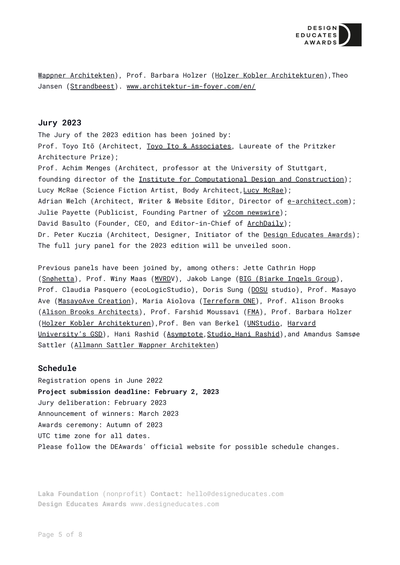

Wappner [Architekten\)](https://www.allmannwappner.com/en/), Prof. Barbara Holzer (Holzer Kobler [Architekturen\)](https://holzerkobler.com/), Theo Jansen ([Strandbeest\)](https://www.strandbeest.com/). [www.architektur-im-foyer.com/en/](http://www.architektur-im-foyer.com/en/)

### <span id="page-4-0"></span>**Jury 2023**

The Jury of the 2023 edition has been joined by: Prof. Toyo Itō (Architect, Toyo Ito & [Associates,](http://www.toyo-ito.co.jp/) Laureate of the Pritzker Architecture Prize); Prof. Achim Menges (Architect, professor at the University of Stuttgart, founding director of the Institute for [Computational](https://www.icd.uni-stuttgart.de/) Design and Construction); Lucy McRae (Science Fiction Artist, Body Architect, Lucy [McRae\)](https://www.lucymcrae.net/); Adrian Welch (Architect, Writer & Website Editor, Director of [e-architect.com\)](https://www.e-architect.com/); Julie Payette (Publicist, Founding Partner of v2com [newswire\)](https://www.v2com-newswire.com/en); David Basulto (Founder, CEO, and Editor-in-Chief of [ArchDaily\)](https://www.archdaily.com/); Dr. Peter Kuczia (Architect, Designer, Initiator of the Design [Educates](http://www.designeducates.com) Awards); The full jury panel for the 2023 edition will be unveiled soon.

Previous panels have been joined by, among others: Jette Cathrin Hopp ([Snøhetta\)](https://snohetta.com/), Prof. Winy Maas ([MVRDV](https://www.mvrdv.nl/)), Jakob Lange (BIG [\(Bjarke](https://big.dk/#projects) Ingels Group), Prof. Claudia Pasquero (ecoLogicStudio), Doris Sung ([DOSU](https://www.dosu-arch.com/) studio), Prof. Masayo Ave ([MasayoAve](https://www.masayoavecreation.org/) Creation), Maria Aiolova ([Terreform](https://terreform.org/) ONE), Prof. Alison Brooks (Alison Brooks [Architects\)](https://www.alisonbrooksarchitects.com/), Prof. Farshid Moussavi ([FMA\)](https://www.farshidmoussavi.com/), Prof. Barbara Holzer (Holzer Kobler [Architekturen\)](https://holzerkobler.com/),Prof. Ben van Berkel ([UNStudio,](https://www.unstudio.com/) [Harvard](https://www.gsd.harvard.edu/) [University's](https://www.gsd.harvard.edu/) GSD), Hani Rashid ([Asymptote,](https://www.asymptote.net/) [Studio\\_Hani](http://studio-hani-rashid.at/) Rashid), and Amandus Samsøe Sattler (Allmann Sattler Wappner [Architekten\)](https://www.allmannsattlerwappner.de/en/)

## <span id="page-4-1"></span>**Schedule**

Registration opens in June 2022 **Project submission deadline: February 2, 2023** Jury deliberation: February 2023 Announcement of winners: March 2023 Awards ceremony: Autumn of 2023 UTC time zone for all dates. Please follow the DEAwards' official website for possible schedule changes.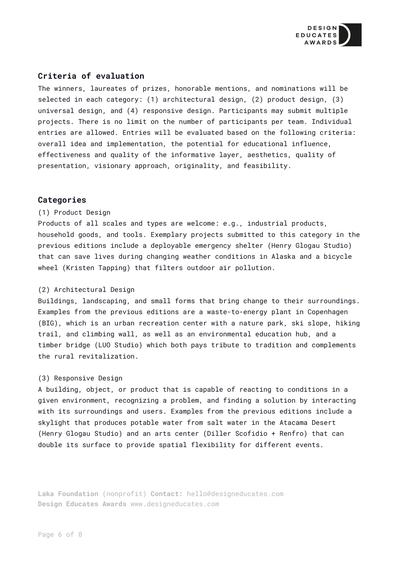

# <span id="page-5-0"></span>**Criteria of evaluation**

The winners, laureates of prizes, honorable mentions, and nominations will be selected in each category: (1) architectural design, (2) product design, (3) universal design, and (4) responsive design. Participants may submit multiple projects. There is no limit on the number of participants per team. Individual entries are allowed. Entries will be evaluated based on the following criteria: overall idea and implementation, the potential for educational influence, effectiveness and quality of the informative layer, aesthetics, quality of presentation, visionary approach, originality, and feasibility.

#### **Categories**

#### (1) Product Design

Products of all scales and types are welcome: e.g., industrial products, household goods, and tools. Exemplary projects submitted to this category in the previous editions include a deployable emergency shelter (Henry Glogau Studio) that can save lives during changing weather conditions in Alaska and a bicycle wheel (Kristen Tapping) that filters outdoor air pollution.

#### (2) Architectural Design

Buildings, landscaping, and small forms that bring change to their surroundings. Examples from the previous editions are a waste-to-energy plant in Copenhagen (BIG), which is an urban recreation center with a nature park, ski slope, hiking trail, and climbing wall, as well as an environmental education hub, and a timber bridge (LUO Studio) which both pays tribute to tradition and complements the rural revitalization.

#### (3) Responsive Design

A building, object, or product that is capable of reacting to conditions in a given environment, recognizing a problem, and finding a solution by interacting with its surroundings and users. Examples from the previous editions include a skylight that produces potable water from salt water in the Atacama Desert (Henry Glogau Studio) and an arts center (Diller Scofidio + Renfro) that can double its surface to provide spatial flexibility for different events.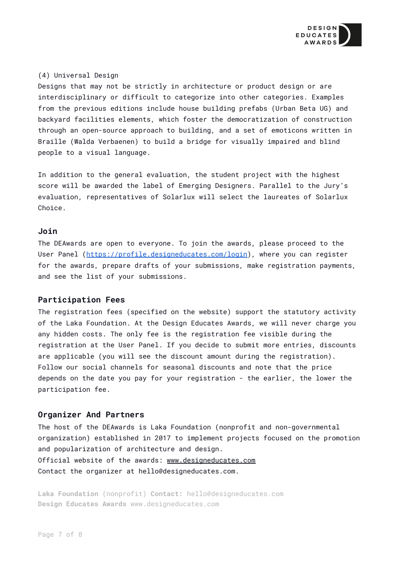

#### (4) Universal Design

Designs that may not be strictly in architecture or product design or are interdisciplinary or difficult to categorize into other categories. Examples from the previous editions include house building prefabs (Urban Beta UG) and backyard facilities elements, which foster the democratization of construction through an open-source approach to building, and a set of emoticons written in Braille (Walda Verbaenen) to build a bridge for visually impaired and blind people to a visual language.

In addition to the general evaluation, the student project with the highest score will be awarded the label of Emerging Designers. Parallel to the Jury's evaluation, representatives of Solarlux will select the laureates of Solarlux Choice.

#### <span id="page-6-0"></span>**Join**

The DEAwards are open to everyone. To join the awards, please proceed to the User Panel ([https://profile.designeducates.com/login\)](https://profile.designeducates.com/login), where you can register for the awards, prepare drafts of your submissions, make registration payments, and see the list of your submissions.

#### <span id="page-6-1"></span>**Participation Fees**

The registration fees (specified on the website) support the statutory activity of the Laka Foundation. At the Design Educates Awards, we will never charge you any hidden costs. The only fee is the registration fee visible during the registration at the User Panel. If you decide to submit more entries, discounts are applicable (you will see the discount amount during the registration). Follow our social channels for seasonal discounts and note that the price depends on the date you pay for your registration - the earlier, the lower the participation fee.

# <span id="page-6-2"></span>**Organizer And Partners**

The host of the DEAwards is Laka Foundation (nonprofit and non-governmental organization) established in 2017 to implement projects focused on the promotion and popularization of architecture and design. Official website of the awards: [www.designeducates.com](http://www.designeducates.com) Contact the organizer at hello@designeducates.com.